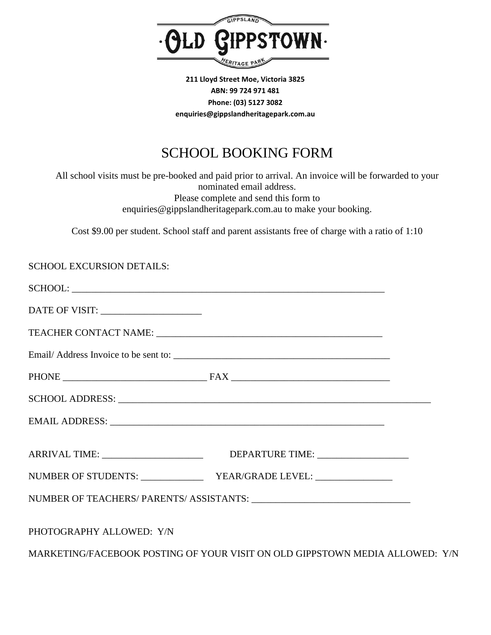

**211 Lloyd Street Moe, Victoria 3825 ABN: 99 724 971 481 Phone: (03) 5127 3082 enquiries@gippslandheritagepark.com.au**

## SCHOOL BOOKING FORM

All school visits must be pre-booked and paid prior to arrival. An invoice will be forwarded to your nominated email address. Please complete and send this form to enquiries@gippslandheritagepark.com.au to make your booking.

Cost \$9.00 per student. School staff and parent assistants free of charge with a ratio of 1:10

| <b>SCHOOL EXCURSION DETAILS:</b>      |                                                                              |  |
|---------------------------------------|------------------------------------------------------------------------------|--|
|                                       |                                                                              |  |
| DATE OF VISIT: ______________________ |                                                                              |  |
|                                       |                                                                              |  |
|                                       |                                                                              |  |
|                                       |                                                                              |  |
|                                       |                                                                              |  |
|                                       |                                                                              |  |
|                                       |                                                                              |  |
|                                       |                                                                              |  |
|                                       |                                                                              |  |
| PHOTOGRAPHY ALLOWED: Y/N              |                                                                              |  |
|                                       | MARKETING/FACEBOOK POSTING OF YOUR VISIT ON OLD GIPPSTOWN MEDIA ALLOWED: Y/N |  |